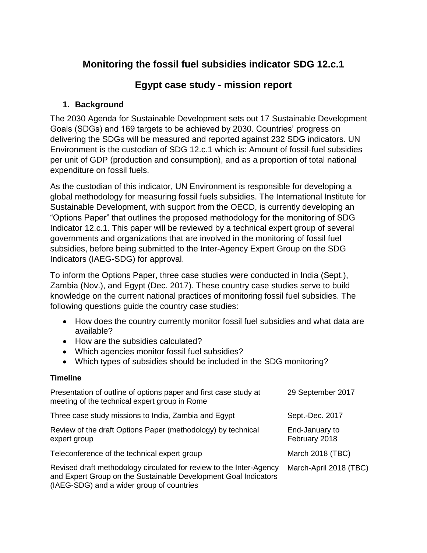# **Monitoring the fossil fuel subsidies indicator SDG 12.c.1**

# **Egypt case study - mission report**

# **1. Background**

The 2030 Agenda for Sustainable Development sets out 17 Sustainable Development Goals (SDGs) and 169 targets to be achieved by 2030. Countries' progress on delivering the SDGs will be measured and reported against 232 SDG indicators. UN Environment is the custodian of SDG 12.c.1 which is: Amount of fossil-fuel subsidies per unit of GDP (production and consumption), and as a proportion of total national expenditure on fossil fuels.

As the custodian of this indicator, UN Environment is responsible for developing a global methodology for measuring fossil fuels subsidies. The International Institute for Sustainable Development, with support from the OECD, is currently developing an "Options Paper" that outlines the proposed methodology for the monitoring of SDG Indicator 12.c.1. This paper will be reviewed by a technical expert group of several governments and organizations that are involved in the monitoring of fossil fuel subsidies, before being submitted to the Inter-Agency Expert Group on the SDG Indicators (IAEG-SDG) for approval.

To inform the Options Paper, three case studies were conducted in India (Sept.), Zambia (Nov.), and Egypt (Dec. 2017). These country case studies serve to build knowledge on the current national practices of monitoring fossil fuel subsidies. The following questions guide the country case studies:

- How does the country currently monitor fossil fuel subsidies and what data are available?
- How are the subsidies calculated?
- Which agencies monitor fossil fuel subsidies?
- Which types of subsidies should be included in the SDG monitoring?

# **Timeline**

| Presentation of outline of options paper and first case study at<br>meeting of the technical expert group in Rome                                                                   | 29 September 2017               |
|-------------------------------------------------------------------------------------------------------------------------------------------------------------------------------------|---------------------------------|
| Three case study missions to India, Zambia and Egypt                                                                                                                                | Sept.-Dec. 2017                 |
| Review of the draft Options Paper (methodology) by technical<br>expert group                                                                                                        | End-January to<br>February 2018 |
| Teleconference of the technical expert group                                                                                                                                        | March 2018 (TBC)                |
| Revised draft methodology circulated for review to the Inter-Agency<br>and Expert Group on the Sustainable Development Goal Indicators<br>(IAEG-SDG) and a wider group of countries | March-April 2018 (TBC)          |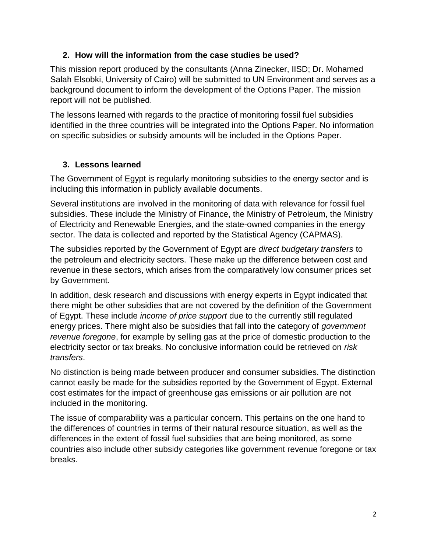# **2. How will the information from the case studies be used?**

This mission report produced by the consultants (Anna Zinecker, IISD; Dr. Mohamed Salah Elsobki, University of Cairo) will be submitted to UN Environment and serves as a background document to inform the development of the Options Paper. The mission report will not be published.

The lessons learned with regards to the practice of monitoring fossil fuel subsidies identified in the three countries will be integrated into the Options Paper. No information on specific subsidies or subsidy amounts will be included in the Options Paper.

# **3. Lessons learned**

The Government of Egypt is regularly monitoring subsidies to the energy sector and is including this information in publicly available documents.

Several institutions are involved in the monitoring of data with relevance for fossil fuel subsidies. These include the Ministry of Finance, the Ministry of Petroleum, the Ministry of Electricity and Renewable Energies, and the state-owned companies in the energy sector. The data is collected and reported by the Statistical Agency (CAPMAS).

The subsidies reported by the Government of Egypt are *direct budgetary transfers* to the petroleum and electricity sectors. These make up the difference between cost and revenue in these sectors, which arises from the comparatively low consumer prices set by Government.

In addition, desk research and discussions with energy experts in Egypt indicated that there might be other subsidies that are not covered by the definition of the Government of Egypt. These include *income of price support* due to the currently still regulated energy prices. There might also be subsidies that fall into the category of *government revenue foregone*, for example by selling gas at the price of domestic production to the electricity sector or tax breaks. No conclusive information could be retrieved on *risk transfers*.

No distinction is being made between producer and consumer subsidies. The distinction cannot easily be made for the subsidies reported by the Government of Egypt. External cost estimates for the impact of greenhouse gas emissions or air pollution are not included in the monitoring.

The issue of comparability was a particular concern. This pertains on the one hand to the differences of countries in terms of their natural resource situation, as well as the differences in the extent of fossil fuel subsidies that are being monitored, as some countries also include other subsidy categories like government revenue foregone or tax breaks.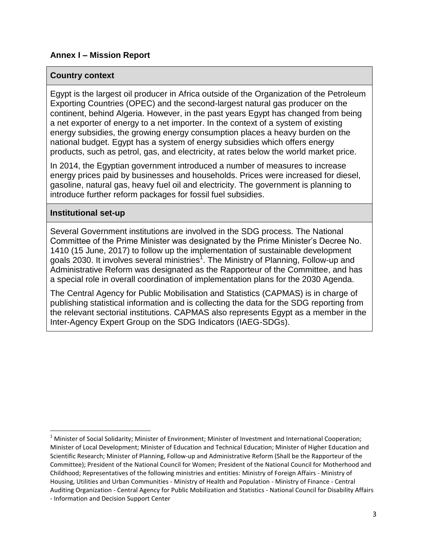## **Annex I – Mission Report**

#### **Country context**

Egypt is the largest oil producer in Africa outside of the Organization of the Petroleum Exporting Countries (OPEC) and the second-largest natural gas producer on the continent, behind Algeria. However, in the past years Egypt has changed from being a net exporter of energy to a net importer. In the context of a system of existing energy subsidies, the growing energy consumption places a heavy burden on the national budget. Egypt has a system of energy subsidies which offers energy products, such as petrol, gas, and electricity, at rates below the world market price.

In 2014, the Egyptian government introduced a number of measures to increase energy prices paid by businesses and households. Prices were increased for diesel, gasoline, natural gas, heavy fuel oil and electricity. The government is planning to introduce further reform packages for fossil fuel subsidies.

#### **Institutional set-up**

 $\overline{\phantom{a}}$ 

Several Government institutions are involved in the SDG process. The National Committee of the Prime Minister was designated by the Prime Minister's Decree No. 1410 (15 June, 2017) to follow up the implementation of sustainable development goals 2030. It involves several ministries<sup>1</sup>. The Ministry of Planning, Follow-up and Administrative Reform was designated as the Rapporteur of the Committee, and has a special role in overall coordination of implementation plans for the 2030 Agenda.

The Central Agency for Public Mobilisation and Statistics (CAPMAS) is in charge of publishing statistical information and is collecting the data for the SDG reporting from the relevant sectorial institutions. CAPMAS also represents Egypt as a member in the Inter-Agency Expert Group on the SDG Indicators (IAEG-SDGs).

<sup>&</sup>lt;sup>1</sup> Minister of Social Solidarity; Minister of Environment; Minister of Investment and International Cooperation; Minister of Local Development; Minister of Education and Technical Education; Minister of Higher Education and Scientific Research; Minister of Planning, Follow-up and Administrative Reform (Shall be the Rapporteur of the Committee); President of the National Council for Women; President of the National Council for Motherhood and Childhood; Representatives of the following ministries and entities: Ministry of Foreign Affairs - Ministry of Housing, Utilities and Urban Communities - Ministry of Health and Population - Ministry of Finance - Central Auditing Organization - Central Agency for Public Mobilization and Statistics - National Council for Disability Affairs - Information and Decision Support Center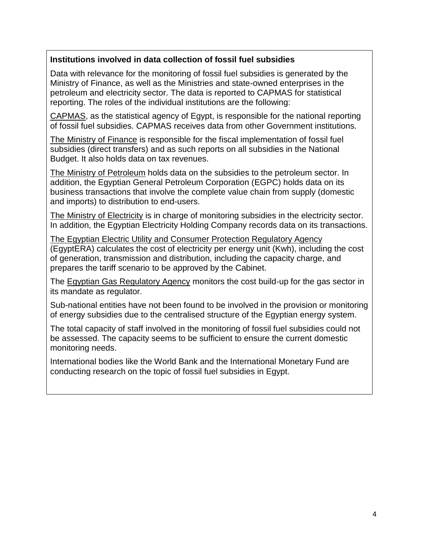# **Institutions involved in data collection of fossil fuel subsidies**

Data with relevance for the monitoring of fossil fuel subsidies is generated by the Ministry of Finance, as well as the Ministries and state-owned enterprises in the petroleum and electricity sector. The data is reported to CAPMAS for statistical reporting. The roles of the individual institutions are the following:

CAPMAS, as the statistical agency of Egypt, is responsible for the national reporting of fossil fuel subsidies. CAPMAS receives data from other Government institutions.

The Ministry of Finance is responsible for the fiscal implementation of fossil fuel subsidies (direct transfers) and as such reports on all subsidies in the National Budget. It also holds data on tax revenues.

The Ministry of Petroleum holds data on the subsidies to the petroleum sector. In addition, the Egyptian General Petroleum Corporation (EGPC) holds data on its business transactions that involve the complete value chain from supply (domestic and imports) to distribution to end-users.

The Ministry of Electricity is in charge of monitoring subsidies in the electricity sector. In addition, the Egyptian Electricity Holding Company records data on its transactions.

The Egyptian Electric Utility and Consumer Protection Regulatory Agency (EgyptERA) calculates the cost of electricity per energy unit (Kwh), including the cost of generation, transmission and distribution, including the capacity charge, and prepares the tariff scenario to be approved by the Cabinet.

The Egyptian Gas Regulatory Agency monitors the cost build-up for the gas sector in its mandate as regulator.

Sub-national entities have not been found to be involved in the provision or monitoring of energy subsidies due to the centralised structure of the Egyptian energy system.

The total capacity of staff involved in the monitoring of fossil fuel subsidies could not be assessed. The capacity seems to be sufficient to ensure the current domestic monitoring needs.

International bodies like the World Bank and the International Monetary Fund are conducting research on the topic of fossil fuel subsidies in Egypt.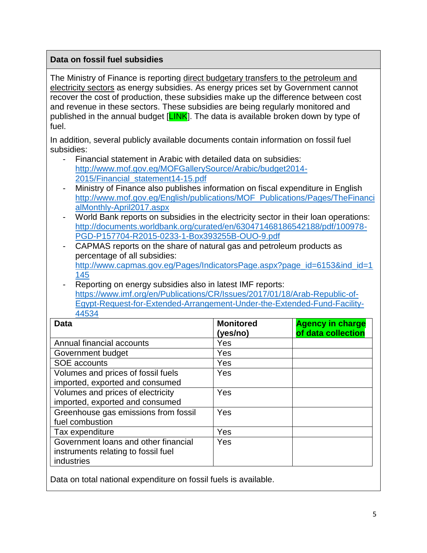# **Data on fossil fuel subsidies**

The Ministry of Finance is reporting direct budgetary transfers to the petroleum and electricity sectors as energy subsidies. As energy prices set by Government cannot recover the cost of production, these subsidies make up the difference between cost and revenue in these sectors. These subsidies are being regularly monitored and published in the annual budget [LINK]. The data is available broken down by type of fuel.

In addition, several publicly available documents contain information on fossil fuel subsidies:

- Financial statement in Arabic with detailed data on subsidies: [http://www.mof.gov.eg/MOFGallerySource/Arabic/budget2014-](http://www.mof.gov.eg/MOFGallerySource/Arabic/budget2014-2015/Financial_statement14-15.pdf) [2015/Financial\\_statement14-15.pdf](http://www.mof.gov.eg/MOFGallerySource/Arabic/budget2014-2015/Financial_statement14-15.pdf)
- Ministry of Finance also publishes information on fiscal expenditure in English [http://www.mof.gov.eg/English/publications/MOF\\_Publications/Pages/TheFinanci](http://www.mof.gov.eg/English/publications/MOF_Publications/Pages/TheFinancialMonthly-April2017.aspx) [alMonthly-April2017.aspx](http://www.mof.gov.eg/English/publications/MOF_Publications/Pages/TheFinancialMonthly-April2017.aspx)
- World Bank reports on subsidies in the electricity sector in their loan operations: [http://documents.worldbank.org/curated/en/630471468186542188/pdf/100978-](http://documents.worldbank.org/curated/en/630471468186542188/pdf/100978-PGD-P157704-R2015-0233-1-Box393255B-OUO-9.pdf) [PGD-P157704-R2015-0233-1-Box393255B-OUO-9.pdf](http://documents.worldbank.org/curated/en/630471468186542188/pdf/100978-PGD-P157704-R2015-0233-1-Box393255B-OUO-9.pdf)
- CAPMAS reports on the share of natural gas and petroleum products as percentage of all subsidies: [http://www.capmas.gov.eg/Pages/IndicatorsPage.aspx?page\\_id=6153&ind\\_id=1](http://www.capmas.gov.eg/Pages/IndicatorsPage.aspx?page_id=6153&ind_id=1145) [145](http://www.capmas.gov.eg/Pages/IndicatorsPage.aspx?page_id=6153&ind_id=1145)
- Reporting on energy subsidies also in latest IMF reports: [https://www.imf.org/en/Publications/CR/Issues/2017/01/18/Arab-Republic-of-](https://www.imf.org/en/Publications/CR/Issues/2017/01/18/Arab-Republic-of-Egypt-Request-for-Extended-Arrangement-Under-the-Extended-Fund-Facility-44534)[Egypt-Request-for-Extended-Arrangement-Under-the-Extended-Fund-Facility-](https://www.imf.org/en/Publications/CR/Issues/2017/01/18/Arab-Republic-of-Egypt-Request-for-Extended-Arrangement-Under-the-Extended-Fund-Facility-44534)[44534](https://www.imf.org/en/Publications/CR/Issues/2017/01/18/Arab-Republic-of-Egypt-Request-for-Extended-Arrangement-Under-the-Extended-Fund-Facility-44534)

| <b>Data</b>                                                                 | <b>Monitored</b><br>(yes/no) | <b>Agency in charge</b><br>of data collection |
|-----------------------------------------------------------------------------|------------------------------|-----------------------------------------------|
| Annual financial accounts                                                   | Yes                          |                                               |
| Government budget                                                           | Yes                          |                                               |
| SOE accounts                                                                | Yes                          |                                               |
| Volumes and prices of fossil fuels                                          | Yes                          |                                               |
| imported, exported and consumed                                             |                              |                                               |
| Volumes and prices of electricity                                           | Yes                          |                                               |
| imported, exported and consumed                                             |                              |                                               |
| Greenhouse gas emissions from fossil                                        | Yes                          |                                               |
| fuel combustion                                                             |                              |                                               |
| Tax expenditure                                                             | Yes                          |                                               |
| Government loans and other financial<br>instruments relating to fossil fuel | Yes                          |                                               |
| industries                                                                  |                              |                                               |

Data on total national expenditure on fossil fuels is available.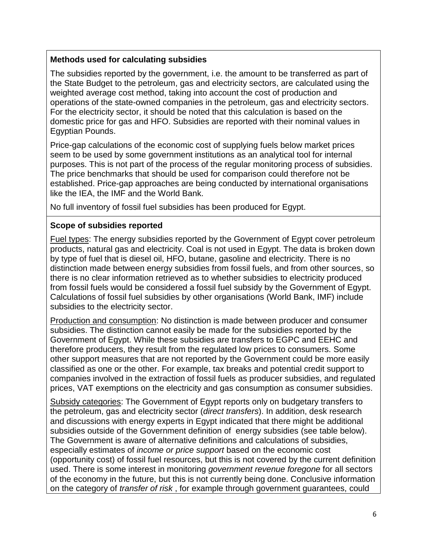## **Methods used for calculating subsidies**

The subsidies reported by the government, i.e. the amount to be transferred as part of the State Budget to the petroleum, gas and electricity sectors, are calculated using the weighted average cost method, taking into account the cost of production and operations of the state-owned companies in the petroleum, gas and electricity sectors. For the electricity sector, it should be noted that this calculation is based on the domestic price for gas and HFO. Subsidies are reported with their nominal values in Egyptian Pounds.

Price-gap calculations of the economic cost of supplying fuels below market prices seem to be used by some government institutions as an analytical tool for internal purposes. This is not part of the process of the regular monitoring process of subsidies. The price benchmarks that should be used for comparison could therefore not be established. Price-gap approaches are being conducted by international organisations like the IEA, the IMF and the World Bank.

No full inventory of fossil fuel subsidies has been produced for Egypt.

## **Scope of subsidies reported**

Fuel types: The energy subsidies reported by the Government of Egypt cover petroleum products, natural gas and electricity. Coal is not used in Egypt. The data is broken down by type of fuel that is diesel oil, HFO, butane, gasoline and electricity. There is no distinction made between energy subsidies from fossil fuels, and from other sources, so there is no clear information retrieved as to whether subsidies to electricity produced from fossil fuels would be considered a fossil fuel subsidy by the Government of Egypt. Calculations of fossil fuel subsidies by other organisations (World Bank, IMF) include subsidies to the electricity sector.

Production and consumption: No distinction is made between producer and consumer subsidies. The distinction cannot easily be made for the subsidies reported by the Government of Egypt. While these subsidies are transfers to EGPC and EEHC and therefore producers, they result from the regulated low prices to consumers. Some other support measures that are not reported by the Government could be more easily classified as one or the other. For example, tax breaks and potential credit support to companies involved in the extraction of fossil fuels as producer subsidies, and regulated prices, VAT exemptions on the electricity and gas consumption as consumer subsidies.

Subsidy categories: The Government of Egypt reports only on budgetary transfers to the petroleum, gas and electricity sector (*direct transfers*). In addition, desk research and discussions with energy experts in Egypt indicated that there might be additional subsidies outside of the Government definition of energy subsidies (see table below). The Government is aware of alternative definitions and calculations of subsidies, especially estimates of *income or price support* based on the economic cost (opportunity cost) of fossil fuel resources, but this is not covered by the current definition used. There is some interest in monitoring *government revenue foregone* for all sectors of the economy in the future, but this is not currently being done. Conclusive information on the category of *transfer of risk* , for example through government guarantees, could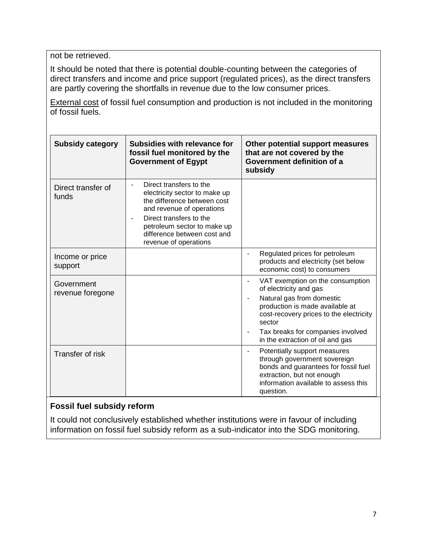not be retrieved.

It should be noted that there is potential double-counting between the categories of direct transfers and income and price support (regulated prices), as the direct transfers are partly covering the shortfalls in revenue due to the low consumer prices.

External cost of fossil fuel consumption and production is not included in the monitoring of fossil fuels.

| <b>Subsidy category</b>        | Subsidies with relevance for<br>fossil fuel monitored by the<br><b>Government of Egypt</b>                                                                                                                                             | Other potential support measures<br>that are not covered by the<br>Government definition of a<br>subsidy                                                                                                                                                                                                   |
|--------------------------------|----------------------------------------------------------------------------------------------------------------------------------------------------------------------------------------------------------------------------------------|------------------------------------------------------------------------------------------------------------------------------------------------------------------------------------------------------------------------------------------------------------------------------------------------------------|
| Direct transfer of<br>funds    | Direct transfers to the<br>electricity sector to make up<br>the difference between cost<br>and revenue of operations<br>Direct transfers to the<br>petroleum sector to make up<br>difference between cost and<br>revenue of operations |                                                                                                                                                                                                                                                                                                            |
| Income or price<br>support     |                                                                                                                                                                                                                                        | Regulated prices for petroleum<br>products and electricity (set below<br>economic cost) to consumers                                                                                                                                                                                                       |
| Government<br>revenue foregone |                                                                                                                                                                                                                                        | VAT exemption on the consumption<br>$\qquad \qquad \blacksquare$<br>of electricity and gas<br>Natural gas from domestic<br>$\blacksquare$<br>production is made available at<br>cost-recovery prices to the electricity<br>sector<br>Tax breaks for companies involved<br>in the extraction of oil and gas |
| Transfer of risk               |                                                                                                                                                                                                                                        | Potentially support measures<br>$\blacksquare$<br>through government sovereign<br>bonds and guarantees for fossil fuel<br>extraction, but not enough<br>information available to assess this<br>question.                                                                                                  |

# **Fossil fuel subsidy reform**

It could not conclusively established whether institutions were in favour of including information on fossil fuel subsidy reform as a sub-indicator into the SDG monitoring.